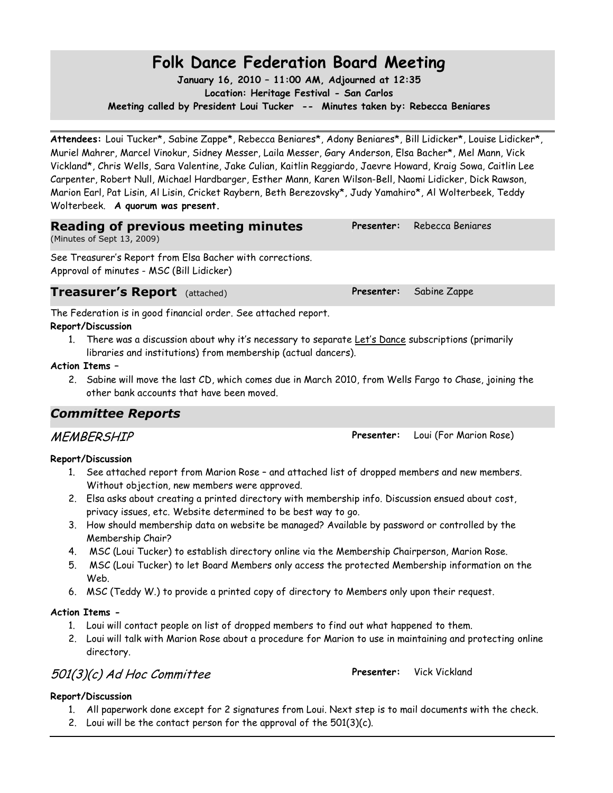# **Folk Dance Federation Board Meeting**

**January 16, 2010 – 11:00 AM, Adjourned at 12:35 Location: Heritage Festival - San Carlos Meeting called by President Loui Tucker -- Minutes taken by: Rebecca Beniares**

**Attendees:** Loui Tucker\*, Sabine Zappe\*, Rebecca Beniares\*, Adony Beniares\*, Bill Lidicker\*, Louise Lidicker\*, Muriel Mahrer, Marcel Vinokur, Sidney Messer, Laila Messer, Gary Anderson, Elsa Bacher\*, Mel Mann, Vick Vickland\*, Chris Wells, Sara Valentine, Jake Culian, Kaitlin Reggiardo, Jaevre Howard, Kraig Sowa, Caitlin Lee Carpenter, Robert Null, Michael Hardbarger, Esther Mann, Karen Wilson-Bell, Naomi Lidicker, Dick Rawson, Marion Earl, Pat Lisin, Al Lisin, Cricket Raybern, Beth Berezovsky\*, Judy Yamahiro\*, Al Wolterbeek, Teddy Wolterbeek. **A quorum was present.**

## **Reading of previous meeting minutes**

(Minutes of Sept 13, 2009)

See Treasurer's Report from Elsa Bacher with corrections. Approval of minutes - MSC (Bill Lidicker)

**Treasurer's Report** (attached) **Presenter:** Sabine Zappe

The Federation is in good financial order. See attached report.

**Report/Discussion**

1. There was a discussion about why it's necessary to separate Let's Dance subscriptions (primarily libraries and institutions) from membership (actual dancers).

### **Action Items –**

2. Sabine will move the last CD, which comes due in March 2010, from Wells Fargo to Chase, joining the other bank accounts that have been moved.

## *Committee Reports*

### **Report/Discussion**

- 1. See attached report from Marion Rose and attached list of dropped members and new members. Without objection, new members were approved.
- 2. Elsa asks about creating a printed directory with membership info. Discussion ensued about cost, privacy issues, etc. Website determined to be best way to go.
- 3. How should membership data on website be managed? Available by password or controlled by the Membership Chair?
- 4. MSC (Loui Tucker) to establish directory online via the Membership Chairperson, Marion Rose.
- 5. MSC (Loui Tucker) to let Board Members only access the protected Membership information on the Web.
- 6. MSC (Teddy W.) to provide a printed copy of directory to Members only upon their request.

### **Action Items -**

- 1. Loui will contact people on list of dropped members to find out what happened to them.
- 2. Loui will talk with Marion Rose about a procedure for Marion to use in maintaining and protecting online directory.

## 501(3)(c) Ad Hoc Committee **Presenter:** Vick Vickland

## **Report/Discussion**

- 1. All paperwork done except for 2 signatures from Loui. Next step is to mail documents with the check.
- 2. Loui will be the contact person for the approval of the  $501(3)(c)$ .

## MEMBERSHIP **Presenter:** Loui (For Marion Rose)

**Presenter:** Rebecca Beniares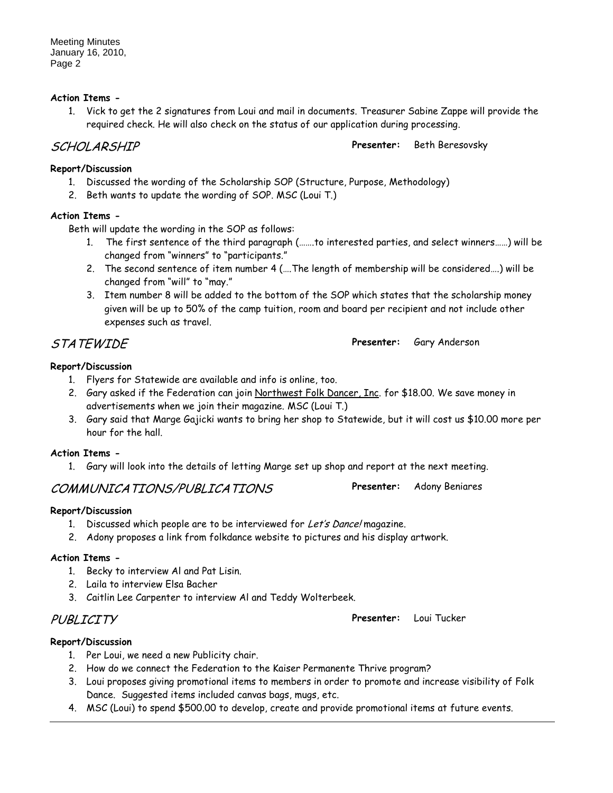### **Action Items -**

1. Vick to get the 2 signatures from Loui and mail in documents. Treasurer Sabine Zappe will provide the required check. He will also check on the status of our application during processing.

SCHOLARSHIP **Presenter:** Beth Beresovsky

#### **Report/Discussion**

- 1. Discussed the wording of the Scholarship SOP (Structure, Purpose, Methodology)
- 2. Beth wants to update the wording of SOP. MSC (Loui T.)

#### **Action Items -**

Beth will update the wording in the SOP as follows:

- The first sentence of the third paragraph (.......to interested parties, and select winners......) will be changed from "winners" to "participants."
- 2. The second sentence of item number 4 (….The length of membership will be considered….) will be changed from "will" to "may."
- 3. Item number 8 will be added to the bottom of the SOP which states that the scholarship money given will be up to 50% of the camp tuition, room and board per recipient and not include other expenses such as travel.

### **Report/Discussion**

- 1. Flyers for Statewide are available and info is online, too.
- 2. Gary asked if the Federation can join Northwest Folk Dancer, Inc. for \$18.00. We save money in advertisements when we join their magazine. MSC (Loui T.)
- 3. Gary said that Marge Gajicki wants to bring her shop to Statewide, but it will cost us \$10.00 more per hour for the hall.

### **Action Items -**

1. Gary will look into the details of letting Marge set up shop and report at the next meeting.

## COMMUNICATIONS/PUBLICATIONS **Presenter:** Adony Beniares

### **Report/Discussion**

- 1. Discussed which people are to be interviewed for Let's Dance! magazine.
- 2. Adony proposes a link from folkdance website to pictures and his display artwork.

### **Action Items -**

- 1. Becky to interview Al and Pat Lisin.
- 2. Laila to interview Elsa Bacher
- 3. Caitlin Lee Carpenter to interview Al and Teddy Wolterbeek.

## PUBLICITY **Presenter:** Loui Tucker

### **Report/Discussion**

- 1. Per Loui, we need a new Publicity chair.
- 2. How do we connect the Federation to the Kaiser Permanente Thrive program?
- 3. Loui proposes giving promotional items to members in order to promote and increase visibility of Folk Dance. Suggested items included canvas bags, mugs, etc.
- 4. MSC (Loui) to spend \$500.00 to develop, create and provide promotional items at future events.

STATEWIDE **Presenter:** Gary Anderson